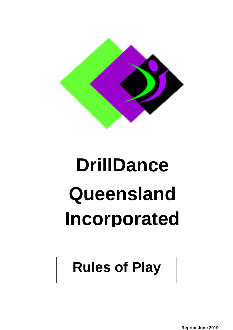

# **DrillDance Queensland Incorporated**

# **Rules of Play**

**Reprint June 2019**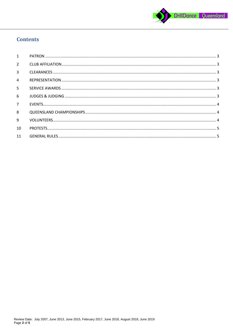

## **Contents**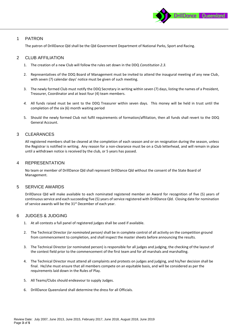

#### <span id="page-2-0"></span>1 PATRON

The patron of DrillDance Qld shall be the Qld Government Department of National Parks, Sport and Racing.

#### <span id="page-2-1"></span>2 CLUB AFFILIATION

- 1. The creation of a new Club will follow the rules set down in the DDQ *Constitution 2.3.*
- 2. Representatives of the DDQ Board of Management must be invited to attend the inaugural meeting of any new Club, with seven (7) calendar days' notice must be given of such meeting.
- 3. The newly formed Club must notify the DDQ Secretary in writing within seven (7) days, listing the names of a President, Treasurer, Coordinator and at least four (4) team members.
- *4.* All funds raised must be sent to the DDQ Treasurer within seven days. This money will be held in trust until the completion of the six (6) month waiting period
- 5. Should the newly formed Club not fulfil requirements of formation/affiliation, then all funds shall revert to the DDQ General Account.

#### <span id="page-2-2"></span>3 CLEARANCES

All registered members shall be cleared at the completion of each season and or on resignation during the season, unless the Registrar is notified in writing. Any reason for a non-clearance must be on a Club letterhead, and will remain in place until a withdrawn notice is received by the club, or 5 years has passed.

#### <span id="page-2-3"></span>4 REPRESENTATION

No team or member of DrillDance Qld shall represent DrillDance Qld without the consent of the State Board of Management.

#### <span id="page-2-4"></span>5 SERVICE AWARDS

DrillDance Qld will make available to each nominated registered member an Award for recognition of five (5) years of continuous service and each succeeding five (5) years of service registered with DrillDance Qld. Closing date for nomination of service awards will be the 31<sup>st</sup> December of each year.

#### <span id="page-2-5"></span>6 JUDGES & JUDGING

- 1. At all contests a full panel of registered judges shall be used if available.
- 2. The Technical Director *(or nominated person)* shall be in complete control of all activity on the competition ground from commencement to completion, and shall inspect the master sheets before announcing the results.
- 3. The Technical Director (or nominated person) is responsible for all judges and judging, the checking of the layout of the contest field prior to the commencement of the first team and for all marshals and marshalling.
- 4. The Technical Director must attend all complaints and protests on judges and judging, and his/her decision shall be final. He/she must ensure that all members compete on an equitable basis, and will be considered as per the requirements laid down in the Rules of Play.
- 5. All Teams/Clubs should endeavour to supply Judges.
- 6. DrillDance Queensland shall determine the dress for all Officials.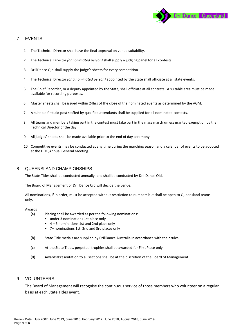

### <span id="page-3-0"></span>7 EVENTS

- 1. The Technical Director shall have the final approval on venue suitability.
- 2. The Technical Director *(or nominated person)* shall supply a judging panel for all contests.
- 3. DrillDance Qld shall supply the judge's sheets for every competition.
- 4. The Technical Director *(or a nominated person)* appointed by the State shall officiate at all state events.
- 5. The Chief Recorder, or a deputy appointed by the State, shall officiate at all contests. A suitable area must be made available for recording purposes.
- 6. Master sheets shall be issued within 24hrs of the close of the nominated events as determined by the AGM.
- 7. A suitable first aid post staffed by qualified attendants shall be supplied for all nominated contests.
- 8. All teams and members taking part in the contest must take part in the mass march unless granted exemption by the Technical Director of the day.
- 9. All judges' sheets shall be made available prior to the end of day ceremony
- 10. Competitive events may be conducted at any time during the marching season and a calendar of events to be adopted at the DDQ Annual General Meeting.

#### <span id="page-3-1"></span>8 QUEENSLAND CHAMPIONSHIPS

The State Titles shall be conducted annually, and shall be conducted by DrillDance Qld.

The Board of Management of DrillDance Qld will decide the venue.

All nominations, if in order, must be accepted without restriction to numbers but shall be open to Queensland teams only.

#### Awards

- (a) Placing shall be awarded as per the following nominations:
	- under 3 nominations 1st place only
	- 4 6 nominations 1st and 2nd place only
	- 7+ nominations 1st, 2nd and 3rd places only
- (b) State Title medals are supplied by DrillDance Australia in accordance with their rules.
- (c) At the State Titles, perpetual trophies shall be awarded for First Place only.
- (d) Awards/Presentation to all sections shall be at the discretion of the Board of Management.

#### <span id="page-3-2"></span>9 VOLUNTEERS

The Board of Management will recognise the continuous service of those members who volunteer on a regular basis at each State Titles event.